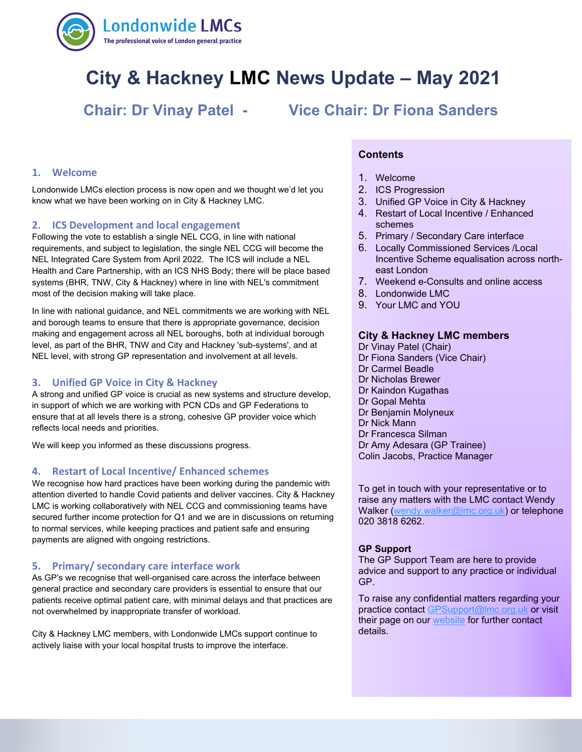

# **City & Hackney LMC News Update – May 2021**

**Chair: Dr Vinay Patel - Vice Chair: Dr Fiona Sanders**

# **1. Welcome**

Londonwide LMCs election process is now open and we thought we'd let you know what we have been working on in City & Hackney LMC.

# **2. ICS Development and local engagement**

Following the vote to establish a single NEL CCG, in line with national requirements, and subject to legislation, the single NEL CCG will become the NEL Integrated Care System from April 2022. The ICS will include a NEL Health and Care Partnership, with an ICS NHS Body; there will be place based systems (BHR, TNW, City & Hackney) where in line with NEL's commitment most of the decision making will take place.

In line with national guidance, and NEL commitments we are working with NEL and borough teams to ensure that there is appropriate governance, decision making and engagement across all NEL boroughs, both at individual borough level, as part of the BHR, TNW and City and Hackney 'sub-systems', and at NEL level, with strong GP representation and involvement at all levels.

# **3. Unified GP Voice in City & Hackney**

A strong and unified GP voice is crucial as new systems and structure develop, in support of which we are working with PCN CDs and GP Federations to ensure that at all levels there is a strong, cohesive GP provider voice which reflects local needs and priorities.

We will keep you informed as these discussions progress.

# **4. Restart of Local Incentive/ Enhanced schemes**

We recognise how hard practices have been working during the pandemic with attention diverted to handle Covid patients and deliver vaccines. City & Hackney LMC is working collaboratively with NEL CCG and commissioning teams have secured further income protection for Q1 and we are in discussions on returning to normal services, while keeping practices and patient safe and ensuring payments are aligned with ongoing restrictions.

# **5. Primary/ secondary care interface work**

As GP's we recognise that well-organised care across the interface between general practice and secondary care providers is essential to ensure that our patients receive optimal patient care, with minimal delays and that practices are not overwhelmed by inappropriate transfer of workload.

City & Hackney LMC members, with Londonwide LMCs support continue to actively liaise with your local hospital trusts to improve the interface.

# **Contents**

- 1. Welcome
- 2. ICS Progression
- 3. Unified GP Voice in City & Hackney
- 4. Restart of Local Incentive / Enhanced schemes
- 5. Primary / Secondary Care interface
- 6. Locally Commissioned Services /Local Incentive Scheme equalisation across northeast London
- 7. Weekend e-Consults and online access
- 8. Londonwide LMC
- 9. Your LMC and YOU

#### **City & Hackney LMC members**

- Dr Vinay Patel (Chair)
- Dr Fiona Sanders (Vice Chair)
- Dr Carmel Beadle
- Dr Nicholas Brewer
- Dr Kaindon Kugathas
- Dr Gopal Mehta
- Dr Benjamin Molyneux
- Dr Nick Mann
- Dr Francesca Silman
- Dr Amy Adesara (GP Trainee)
- Colin Jacobs, Practice Manager

To get in touch with your representative or to raise any matters with the LMC contact Wendy Walker [\(wendy.walker@lmc.org.uk\)](mailto:wendy.walker@lmc.org.uk) or telephone 020 3818 6262.

#### **GP Support**

The GP Support Team are here to provide advice and support to any practice or individual GP.

To raise any confidential matters regarding your practice contact [GPSupport@lmc.org.uk](mailto:GPSupport@lmc.org.uk) or visit their page on our [website](https://www.lmc.org.uk/page.php?id=39) for further contact details.